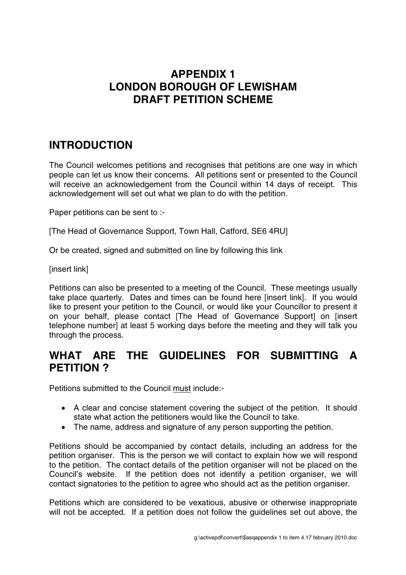## **APPENDIX 1 LONDON BOROUGH OF LEWISHAM DRAFT PETITION SCHEME**

## **INTRODUCTION**

The Council welcomes petitions and recognises that petitions are one way in which people can let us know their concerns. All petitions sent or presented to the Council will receive an acknowledgement from the Council within 14 days of receipt. This acknowledgement will set out what we plan to do with the petition.

Paper petitions can be sent to :-

[The Head of Governance Support, Town Hall, Catford, SE6 4RU]

Or be created, signed and submitted on line by following this link

[insert link]

Petitions can also be presented to a meeting of the Council. These meetings usually take place quarterly. Dates and times can be found here [insert link]. If you would like to present your petition to the Council, or would like your Councillor to present it on your behalf, please contact [The Head of Governance Support] on [insert telephone number] at least 5 working days before the meeting and they will talk you through the process.

#### **WHAT ARE THE GUIDELINES FOR SUBMITTING A PETITION ?**

Petitions submitted to the Council must include:-

- A clear and concise statement covering the subject of the petition. It should state what action the petitioners would like the Council to take.
- The name, address and signature of any person supporting the petition.

Petitions should be accompanied by contact details, including an address for the petition organiser. This is the person we will contact to explain how we will respond to the petition. The contact details of the petition organiser will not be placed on the Council's website. If the petition does not identify a petition organiser, we will contact signatories to the petition to agree who should act as the petition organiser.

Petitions which are considered to be vexatious, abusive or otherwise inappropriate will not be accepted. If a petition does not follow the guidelines set out above, the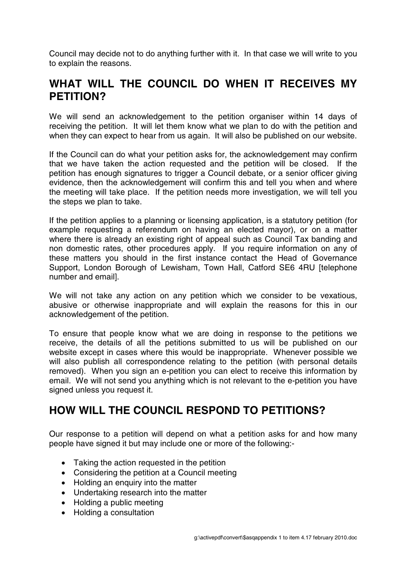Council may decide not to do anything further with it. In that case we will write to you to explain the reasons.

#### **WHAT WILL THE COUNCIL DO WHEN IT RECEIVES MY PETITION?**

We will send an acknowledgement to the petition organiser within 14 days of receiving the petition. It will let them know what we plan to do with the petition and when they can expect to hear from us again. It will also be published on our website.

If the Council can do what your petition asks for, the acknowledgement may confirm that we have taken the action requested and the petition will be closed. If the petition has enough signatures to trigger a Council debate, or a senior officer giving evidence, then the acknowledgement will confirm this and tell you when and where the meeting will take place. If the petition needs more investigation, we will tell you the steps we plan to take.

If the petition applies to a planning or licensing application, is a statutory petition (for example requesting a referendum on having an elected mayor), or on a matter where there is already an existing right of appeal such as Council Tax banding and non domestic rates, other procedures apply. If you require information on any of these matters you should in the first instance contact the Head of Governance Support, London Borough of Lewisham, Town Hall, Catford SE6 4RU [telephone number and email].

We will not take any action on any petition which we consider to be vexatious, abusive or otherwise inappropriate and will explain the reasons for this in our acknowledgement of the petition.

To ensure that people know what we are doing in response to the petitions we receive, the details of all the petitions submitted to us will be published on our website except in cases where this would be inappropriate. Whenever possible we will also publish all correspondence relating to the petition (with personal details removed). When you sign an e-petition you can elect to receive this information by email. We will not send you anything which is not relevant to the e-petition you have signed unless you request it.

## **HOW WILL THE COUNCIL RESPOND TO PETITIONS?**

Our response to a petition will depend on what a petition asks for and how many people have signed it but may include one or more of the following:-

- Taking the action requested in the petition
- Considering the petition at a Council meeting
- Holding an enquiry into the matter
- Undertaking research into the matter
- Holding a public meeting
- Holding a consultation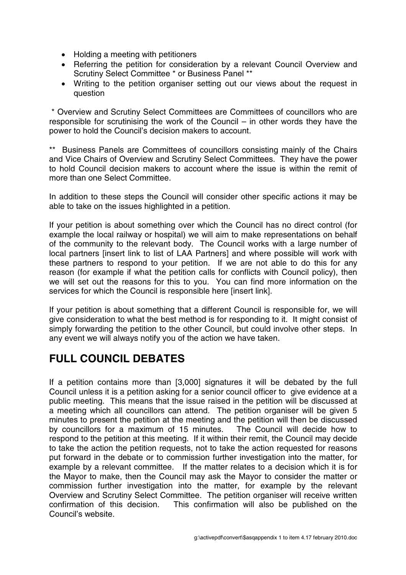- Holding a meeting with petitioners
- Referring the petition for consideration by a relevant Council Overview and Scrutiny Select Committee \* or Business Panel \*\*
- Writing to the petition organiser setting out our views about the request in question

\* Overview and Scrutiny Select Committees are Committees of councillors who are responsible for scrutinising the work of the Council – in other words they have the power to hold the Council's decision makers to account.

\*\* Business Panels are Committees of councillors consisting mainly of the Chairs and Vice Chairs of Overview and Scrutiny Select Committees. They have the power to hold Council decision makers to account where the issue is within the remit of more than one Select Committee.

In addition to these steps the Council will consider other specific actions it may be able to take on the issues highlighted in a petition.

If your petition is about something over which the Council has no direct control (for example the local railway or hospital) we will aim to make representations on behalf of the community to the relevant body. The Council works with a large number of local partners [insert link to list of LAA Partners] and where possible will work with these partners to respond to your petition. If we are not able to do this for any reason (for example if what the petition calls for conflicts with Council policy), then we will set out the reasons for this to you. You can find more information on the services for which the Council is responsible here [insert link].

If your petition is about something that a different Council is responsible for, we will give consideration to what the best method is for responding to it. It might consist of simply forwarding the petition to the other Council, but could involve other steps. In any event we will always notify you of the action we have taken.

## **FULL COUNCIL DEBATES**

If a petition contains more than [3,000] signatures it will be debated by the full Council unless it is a petition asking for a senior council officer to give evidence at a public meeting. This means that the issue raised in the petition will be discussed at a meeting which all councillors can attend. The petition organiser will be given 5 minutes to present the petition at the meeting and the petition will then be discussed by councillors for a maximum of 15 minutes. The Council will decide how to respond to the petition at this meeting. If it within their remit, the Council may decide to take the action the petition requests, not to take the action requested for reasons put forward in the debate or to commission further investigation into the matter, for example by a relevant committee. If the matter relates to a decision which it is for the Mayor to make, then the Council may ask the Mayor to consider the matter or commission further investigation into the matter, for example by the relevant Overview and Scrutiny Select Committee. The petition organiser will receive written confirmation of this decision. This confirmation will also be published on the Council's website.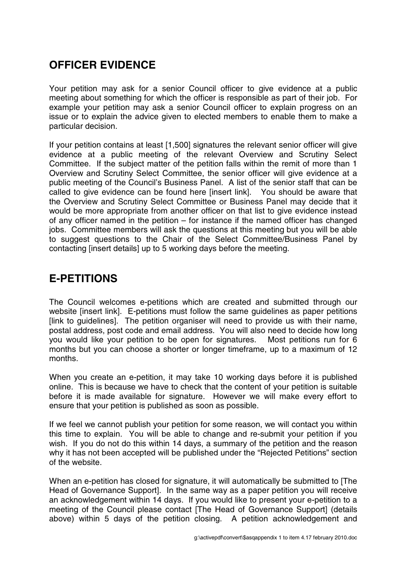# **OFFICER EVIDENCE**

Your petition may ask for a senior Council officer to give evidence at a public meeting about something for which the officer is responsible as part of their job. For example your petition may ask a senior Council officer to explain progress on an issue or to explain the advice given to elected members to enable them to make a particular decision.

If your petition contains at least [1,500] signatures the relevant senior officer will give evidence at a public meeting of the relevant Overview and Scrutiny Select Committee. If the subject matter of the petition falls within the remit of more than 1 Overview and Scrutiny Select Committee, the senior officer will give evidence at a public meeting of the Council's Business Panel. A list of the senior staff that can be called to give evidence can be found here [insert link]. You should be aware that the Overview and Scrutiny Select Committee or Business Panel may decide that it would be more appropriate from another officer on that list to give evidence instead of any officer named in the petition – for instance if the named officer has changed jobs. Committee members will ask the questions at this meeting but you will be able to suggest questions to the Chair of the Select Committee/Business Panel by contacting [insert details] up to 5 working days before the meeting.

## **E-PETITIONS**

The Council welcomes e-petitions which are created and submitted through our website [insert link]. E-petitions must follow the same guidelines as paper petitions [link to guidelines]. The petition organiser will need to provide us with their name, postal address, post code and email address. You will also need to decide how long you would like your petition to be open for signatures. Most petitions run for 6 months but you can choose a shorter or longer timeframe, up to a maximum of 12 months.

When you create an e-petition, it may take 10 working days before it is published online. This is because we have to check that the content of your petition is suitable before it is made available for signature. However we will make every effort to ensure that your petition is published as soon as possible.

If we feel we cannot publish your petition for some reason, we will contact you within this time to explain. You will be able to change and re-submit your petition if you wish. If you do not do this within 14 days, a summary of the petition and the reason why it has not been accepted will be published under the "Rejected Petitions" section of the website.

When an e-petition has closed for signature, it will automatically be submitted to [The Head of Governance Support]. In the same way as a paper petition you will receive an acknowledgement within 14 days. If you would like to present your e-petition to a meeting of the Council please contact [The Head of Governance Support] (details above) within 5 days of the petition closing. A petition acknowledgement and